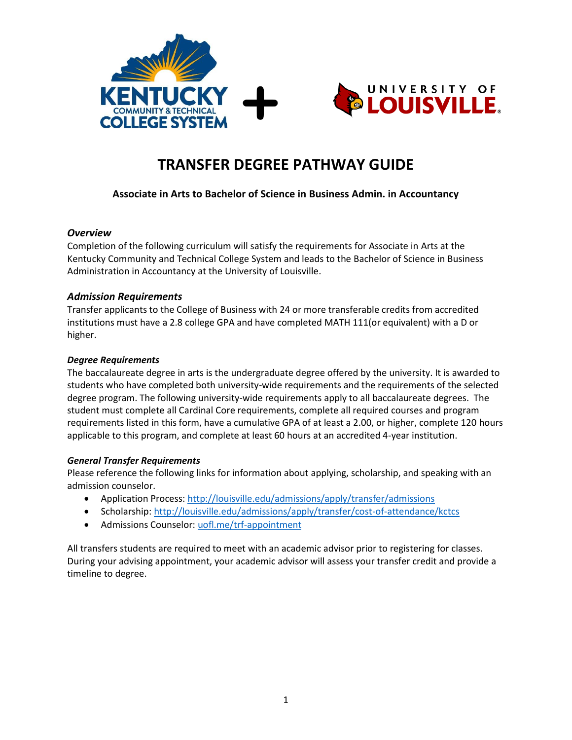



# **TRANSFER DEGREE PATHWAY GUIDE**

# **Associate in Arts to Bachelor of Science in Business Admin. in Accountancy**

#### *Overview*

Completion of the following curriculum will satisfy the requirements for Associate in Arts at the Kentucky Community and Technical College System and leads to the Bachelor of Science in Business Administration in Accountancy at the University of Louisville.

### *Admission Requirements*

Transfer applicants to the College of Business with 24 or more transferable credits from accredited institutions must have a 2.8 college GPA and have completed MATH 111(or equivalent) with a D or higher.

#### *Degree Requirements*

The baccalaureate degree in arts is the undergraduate degree offered by the university. It is awarded to students who have completed both university-wide requirements and the requirements of the selected degree program. The following university-wide requirements apply to all baccalaureate degrees. The student must complete all Cardinal Core requirements, complete all required courses and program requirements listed in this form, have a cumulative GPA of at least a 2.00, or higher, complete 120 hours applicable to this program, and complete at least 60 hours at an accredited 4-year institution.

#### *General Transfer Requirements*

Please reference the following links for information about applying, scholarship, and speaking with an admission counselor.

- Application Process[: http://louisville.edu/admissions/apply/transfer/admissions](http://louisville.edu/admissions/apply/transfer/admissions)
- Scholarship[: http://louisville.edu/admissions/apply/transfer/cost-of-attendance/kctcs](http://louisville.edu/admissions/apply/transfer/cost-of-attendance/kctcs)
- Admissions Counselor: uofl.me/trf-appointment

All transfers students are required to meet with an academic advisor prior to registering for classes. During your advising appointment, your academic advisor will assess your transfer credit and provide a timeline to degree.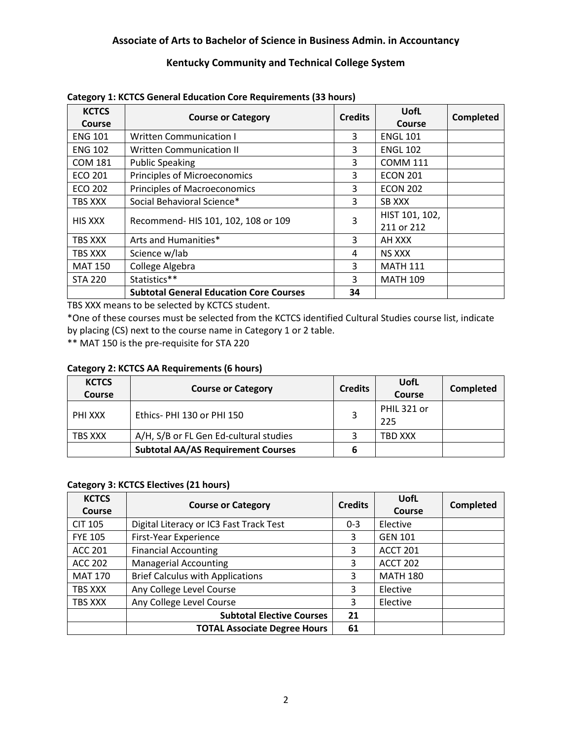# **Associate of Arts to Bachelor of Science in Business Admin. in Accountancy**

## **Kentucky Community and Technical College System**

| <b>KCTCS</b><br><b>Course</b> | <b>Course or Category</b>                      | <b>Credits</b> | <b>UofL</b><br><b>Course</b> | <b>Completed</b> |
|-------------------------------|------------------------------------------------|----------------|------------------------------|------------------|
| <b>ENG 101</b>                | <b>Written Communication I</b>                 | 3              | <b>ENGL 101</b>              |                  |
| <b>ENG 102</b>                | <b>Written Communication II</b>                | 3              | <b>ENGL 102</b>              |                  |
| <b>COM 181</b>                | <b>Public Speaking</b>                         | 3              | <b>COMM 111</b>              |                  |
| <b>ECO 201</b>                | Principles of Microeconomics                   | 3              | <b>ECON 201</b>              |                  |
| ECO 202                       | <b>Principles of Macroeconomics</b>            | 3              | <b>ECON 202</b>              |                  |
| TBS XXX                       | Social Behavioral Science*                     | 3              | SB XXX                       |                  |
| <b>HIS XXX</b>                | Recommend- HIS 101, 102, 108 or 109            | 3              | HIST 101, 102,<br>211 or 212 |                  |
| TBS XXX                       | Arts and Humanities*                           | 3              | AH XXX                       |                  |
| TBS XXX                       | Science w/lab                                  | 4              | <b>NS XXX</b>                |                  |
| <b>MAT 150</b>                | College Algebra                                | 3              | <b>MATH 111</b>              |                  |
| <b>STA 220</b>                | Statistics**                                   | 3              | <b>MATH 109</b>              |                  |
|                               | <b>Subtotal General Education Core Courses</b> | 34             |                              |                  |

#### **Category 1: KCTCS General Education Core Requirements (33 hours)**

TBS XXX means to be selected by KCTCS student.

\*One of these courses must be selected from the KCTCS identified Cultural Studies course list, indicate by placing (CS) next to the course name in Category 1 or 2 table.

\*\* MAT 150 is the pre-requisite for STA 220

#### **Category 2: KCTCS AA Requirements (6 hours)**

| <b>KCTCS</b><br>Course | <b>Course or Category</b>                 | <b>Credits</b> | UofL<br>Course     | Completed |
|------------------------|-------------------------------------------|----------------|--------------------|-----------|
| PHI XXX                | Ethics-PHI 130 or PHI 150                 |                | PHIL 321 or<br>225 |           |
| TBS XXX                | A/H, S/B or FL Gen Ed-cultural studies    |                | TBD XXX            |           |
|                        | <b>Subtotal AA/AS Requirement Courses</b> |                |                    |           |

#### **Category 3: KCTCS Electives (21 hours)**

| <b>KCTCS</b><br><b>Course</b> | <b>Course or Category</b>               | <b>Credits</b> | <b>UofL</b><br><b>Course</b> | Completed |
|-------------------------------|-----------------------------------------|----------------|------------------------------|-----------|
| <b>CIT 105</b>                | Digital Literacy or IC3 Fast Track Test | $0 - 3$        | Elective                     |           |
| <b>FYE 105</b>                | First-Year Experience                   | 3              | <b>GEN 101</b>               |           |
| <b>ACC 201</b>                | <b>Financial Accounting</b>             | 3              | <b>ACCT 201</b>              |           |
| <b>ACC 202</b>                | <b>Managerial Accounting</b>            | 3              | <b>ACCT 202</b>              |           |
| <b>MAT 170</b>                | <b>Brief Calculus with Applications</b> | 3              | <b>MATH 180</b>              |           |
| TBS XXX                       | Any College Level Course                | 3              | Elective                     |           |
| TBS XXX                       | Any College Level Course                | 3              | Elective                     |           |
|                               | <b>Subtotal Elective Courses</b>        | 21             |                              |           |
|                               | <b>TOTAL Associate Degree Hours</b>     | 61             |                              |           |